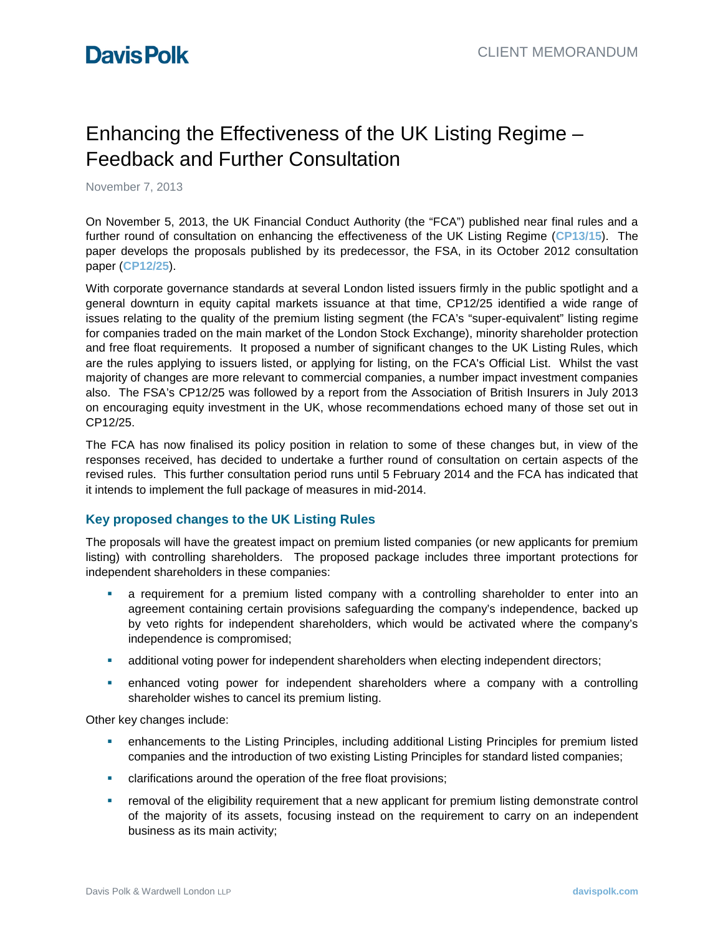# Enhancing the Effectiveness of the UK Listing Regime – Feedback and Further Consultation

November 7, 2013

On November 5, 2013, the UK Financial Conduct Authority (the "FCA") published near final rules and a further round of consultation on enhancing the effectiveness of the UK Listing Regime (**[CP13/15](http://www.fca.org.uk/static/documents/consultation-papers/cp13-15.pdf)**). The paper develops the proposals published by its predecessor, the FSA, in its October 2012 consultation paper (**[CP12/25](http://www.fsa.gov.uk/static/pubs/cp/cp12-25.pdf)**).

With corporate governance standards at several London listed issuers firmly in the public spotlight and a general downturn in equity capital markets issuance at that time, CP12/25 identified a wide range of issues relating to the quality of the premium listing segment (the FCA's "super-equivalent" listing regime for companies traded on the main market of the London Stock Exchange), minority shareholder protection and free float requirements. It proposed a number of significant changes to the UK Listing Rules, which are the rules applying to issuers listed, or applying for listing, on the FCA's Official List. Whilst the vast majority of changes are more relevant to commercial companies, a number impact investment companies also. The FSA's CP12/25 was followed by a report from the Association of British Insurers in July 2013 on encouraging equity investment in the UK, whose recommendations echoed many of those set out in CP12/25.

The FCA has now finalised its policy position in relation to some of these changes but, in view of the responses received, has decided to undertake a further round of consultation on certain aspects of the revised rules. This further consultation period runs until 5 February 2014 and the FCA has indicated that it intends to implement the full package of measures in mid-2014.

## **Key proposed changes to the UK Listing Rules**

The proposals will have the greatest impact on premium listed companies (or new applicants for premium listing) with controlling shareholders. The proposed package includes three important protections for independent shareholders in these companies:

- a requirement for a premium listed company with a controlling shareholder to enter into an agreement containing certain provisions safeguarding the company's independence, backed up by veto rights for independent shareholders, which would be activated where the company's independence is compromised;
- additional voting power for independent shareholders when electing independent directors;
- enhanced voting power for independent shareholders where a company with a controlling shareholder wishes to cancel its premium listing.

Other key changes include:

- enhancements to the Listing Principles, including additional Listing Principles for premium listed companies and the introduction of two existing Listing Principles for standard listed companies;
- clarifications around the operation of the free float provisions;
- removal of the eligibility requirement that a new applicant for premium listing demonstrate control of the majority of its assets, focusing instead on the requirement to carry on an independent business as its main activity;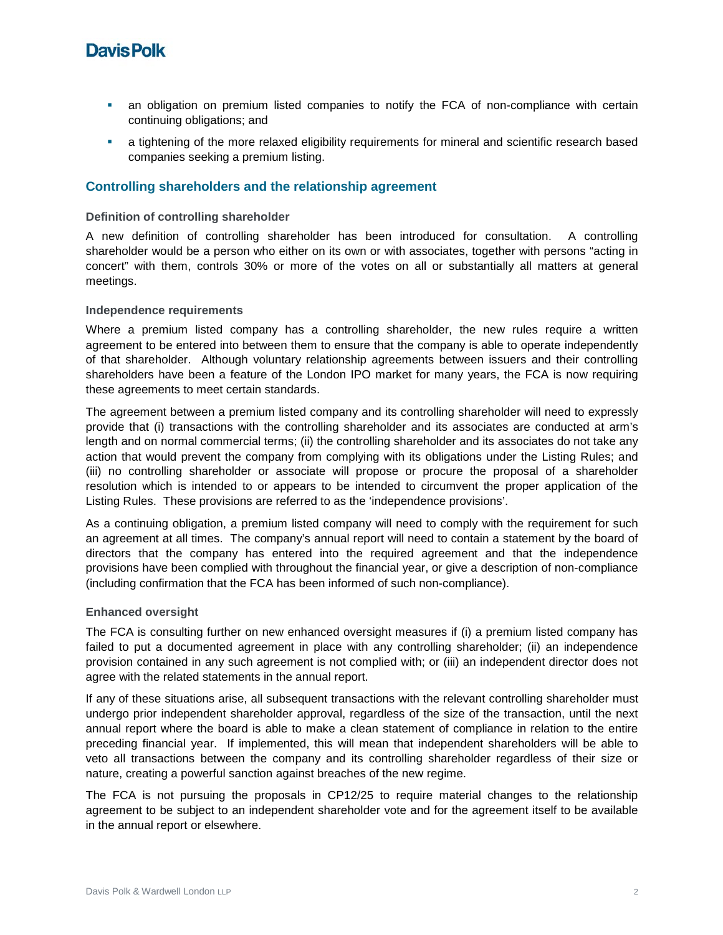# **Davis Polk**

- an obligation on premium listed companies to notify the FCA of non-compliance with certain continuing obligations; and
- a tightening of the more relaxed eligibility requirements for mineral and scientific research based companies seeking a premium listing.

### **Controlling shareholders and the relationship agreement**

#### **Definition of controlling shareholder**

A new definition of controlling shareholder has been introduced for consultation. A controlling shareholder would be a person who either on its own or with associates, together with persons "acting in concert" with them, controls 30% or more of the votes on all or substantially all matters at general meetings.

#### **Independence requirements**

Where a premium listed company has a controlling shareholder, the new rules require a written agreement to be entered into between them to ensure that the company is able to operate independently of that shareholder. Although voluntary relationship agreements between issuers and their controlling shareholders have been a feature of the London IPO market for many years, the FCA is now requiring these agreements to meet certain standards.

The agreement between a premium listed company and its controlling shareholder will need to expressly provide that (i) transactions with the controlling shareholder and its associates are conducted at arm's length and on normal commercial terms; (ii) the controlling shareholder and its associates do not take any action that would prevent the company from complying with its obligations under the Listing Rules; and (iii) no controlling shareholder or associate will propose or procure the proposal of a shareholder resolution which is intended to or appears to be intended to circumvent the proper application of the Listing Rules. These provisions are referred to as the 'independence provisions'.

As a continuing obligation, a premium listed company will need to comply with the requirement for such an agreement at all times. The company's annual report will need to contain a statement by the board of directors that the company has entered into the required agreement and that the independence provisions have been complied with throughout the financial year, or give a description of non-compliance (including confirmation that the FCA has been informed of such non-compliance).

#### **Enhanced oversight**

The FCA is consulting further on new enhanced oversight measures if (i) a premium listed company has failed to put a documented agreement in place with any controlling shareholder; (ii) an independence provision contained in any such agreement is not complied with; or (iii) an independent director does not agree with the related statements in the annual report.

If any of these situations arise, all subsequent transactions with the relevant controlling shareholder must undergo prior independent shareholder approval, regardless of the size of the transaction, until the next annual report where the board is able to make a clean statement of compliance in relation to the entire preceding financial year. If implemented, this will mean that independent shareholders will be able to veto all transactions between the company and its controlling shareholder regardless of their size or nature, creating a powerful sanction against breaches of the new regime.

The FCA is not pursuing the proposals in CP12/25 to require material changes to the relationship agreement to be subject to an independent shareholder vote and for the agreement itself to be available in the annual report or elsewhere.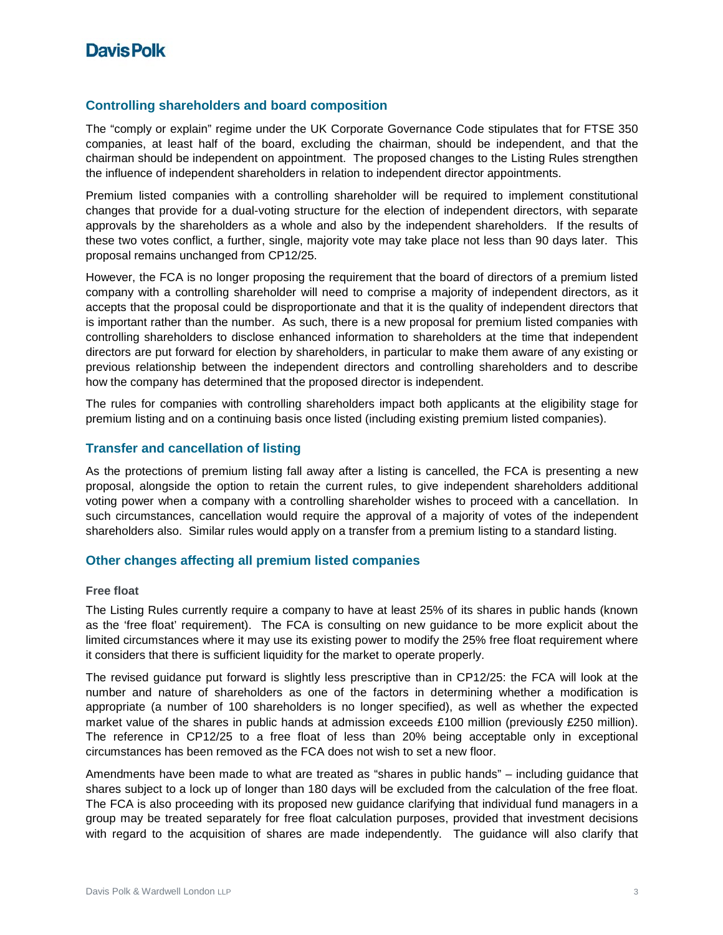# **DavisPolk**

### **Controlling shareholders and board composition**

The "comply or explain" regime under the UK Corporate Governance Code stipulates that for FTSE 350 companies, at least half of the board, excluding the chairman, should be independent, and that the chairman should be independent on appointment. The proposed changes to the Listing Rules strengthen the influence of independent shareholders in relation to independent director appointments.

Premium listed companies with a controlling shareholder will be required to implement constitutional changes that provide for a dual-voting structure for the election of independent directors, with separate approvals by the shareholders as a whole and also by the independent shareholders. If the results of these two votes conflict, a further, single, majority vote may take place not less than 90 days later. This proposal remains unchanged from CP12/25.

However, the FCA is no longer proposing the requirement that the board of directors of a premium listed company with a controlling shareholder will need to comprise a majority of independent directors, as it accepts that the proposal could be disproportionate and that it is the quality of independent directors that is important rather than the number. As such, there is a new proposal for premium listed companies with controlling shareholders to disclose enhanced information to shareholders at the time that independent directors are put forward for election by shareholders, in particular to make them aware of any existing or previous relationship between the independent directors and controlling shareholders and to describe how the company has determined that the proposed director is independent.

The rules for companies with controlling shareholders impact both applicants at the eligibility stage for premium listing and on a continuing basis once listed (including existing premium listed companies).

### **Transfer and cancellation of listing**

As the protections of premium listing fall away after a listing is cancelled, the FCA is presenting a new proposal, alongside the option to retain the current rules, to give independent shareholders additional voting power when a company with a controlling shareholder wishes to proceed with a cancellation. In such circumstances, cancellation would require the approval of a majority of votes of the independent shareholders also. Similar rules would apply on a transfer from a premium listing to a standard listing.

#### **Other changes affecting all premium listed companies**

#### **Free float**

The Listing Rules currently require a company to have at least 25% of its shares in public hands (known as the 'free float' requirement). The FCA is consulting on new guidance to be more explicit about the limited circumstances where it may use its existing power to modify the 25% free float requirement where it considers that there is sufficient liquidity for the market to operate properly.

The revised guidance put forward is slightly less prescriptive than in CP12/25: the FCA will look at the number and nature of shareholders as one of the factors in determining whether a modification is appropriate (a number of 100 shareholders is no longer specified), as well as whether the expected market value of the shares in public hands at admission exceeds £100 million (previously £250 million). The reference in CP12/25 to a free float of less than 20% being acceptable only in exceptional circumstances has been removed as the FCA does not wish to set a new floor.

Amendments have been made to what are treated as "shares in public hands" – including guidance that shares subject to a lock up of longer than 180 days will be excluded from the calculation of the free float. The FCA is also proceeding with its proposed new guidance clarifying that individual fund managers in a group may be treated separately for free float calculation purposes, provided that investment decisions with regard to the acquisition of shares are made independently. The guidance will also clarify that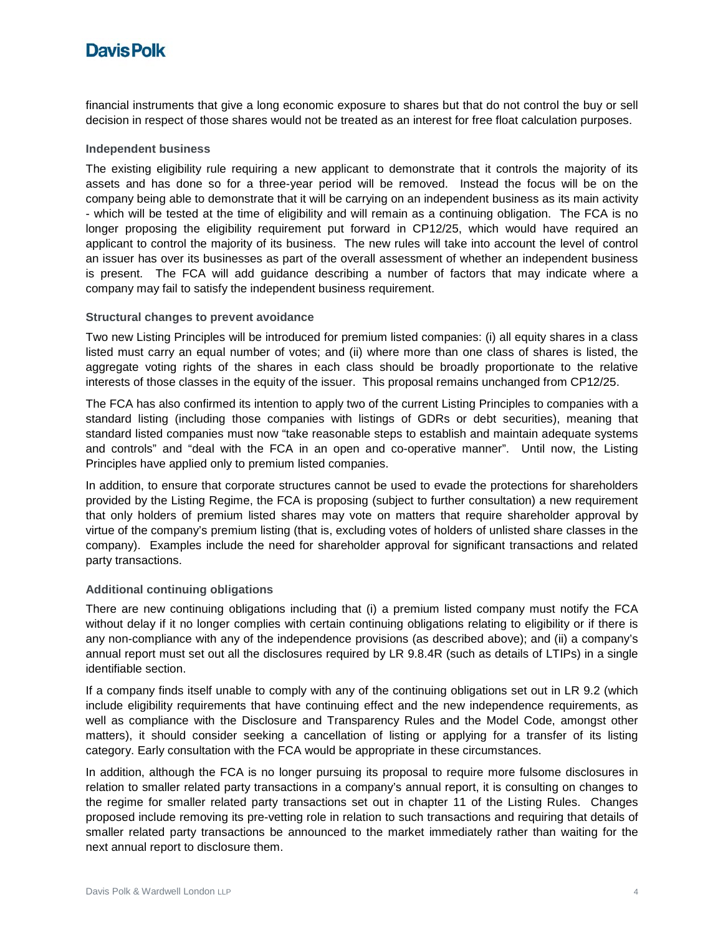# **Davis Polk**

financial instruments that give a long economic exposure to shares but that do not control the buy or sell decision in respect of those shares would not be treated as an interest for free float calculation purposes.

#### **Independent business**

The existing eligibility rule requiring a new applicant to demonstrate that it controls the majority of its assets and has done so for a three-year period will be removed. Instead the focus will be on the company being able to demonstrate that it will be carrying on an independent business as its main activity - which will be tested at the time of eligibility and will remain as a continuing obligation. The FCA is no longer proposing the eligibility requirement put forward in CP12/25, which would have required an applicant to control the majority of its business. The new rules will take into account the level of control an issuer has over its businesses as part of the overall assessment of whether an independent business is present. The FCA will add guidance describing a number of factors that may indicate where a company may fail to satisfy the independent business requirement.

#### **Structural changes to prevent avoidance**

Two new Listing Principles will be introduced for premium listed companies: (i) all equity shares in a class listed must carry an equal number of votes; and (ii) where more than one class of shares is listed, the aggregate voting rights of the shares in each class should be broadly proportionate to the relative interests of those classes in the equity of the issuer. This proposal remains unchanged from CP12/25.

The FCA has also confirmed its intention to apply two of the current Listing Principles to companies with a standard listing (including those companies with listings of GDRs or debt securities), meaning that standard listed companies must now "take reasonable steps to establish and maintain adequate systems and controls" and "deal with the FCA in an open and co-operative manner". Until now, the Listing Principles have applied only to premium listed companies.

In addition, to ensure that corporate structures cannot be used to evade the protections for shareholders provided by the Listing Regime, the FCA is proposing (subject to further consultation) a new requirement that only holders of premium listed shares may vote on matters that require shareholder approval by virtue of the company's premium listing (that is, excluding votes of holders of unlisted share classes in the company). Examples include the need for shareholder approval for significant transactions and related party transactions.

#### **Additional continuing obligations**

There are new continuing obligations including that (i) a premium listed company must notify the FCA without delay if it no longer complies with certain continuing obligations relating to eligibility or if there is any non-compliance with any of the independence provisions (as described above); and (ii) a company's annual report must set out all the disclosures required by LR 9.8.4R (such as details of LTIPs) in a single identifiable section.

If a company finds itself unable to comply with any of the continuing obligations set out in LR 9.2 (which include eligibility requirements that have continuing effect and the new independence requirements, as well as compliance with the Disclosure and Transparency Rules and the Model Code, amongst other matters), it should consider seeking a cancellation of listing or applying for a transfer of its listing category. Early consultation with the FCA would be appropriate in these circumstances.

In addition, although the FCA is no longer pursuing its proposal to require more fulsome disclosures in relation to smaller related party transactions in a company's annual report, it is consulting on changes to the regime for smaller related party transactions set out in chapter 11 of the Listing Rules. Changes proposed include removing its pre-vetting role in relation to such transactions and requiring that details of smaller related party transactions be announced to the market immediately rather than waiting for the next annual report to disclosure them.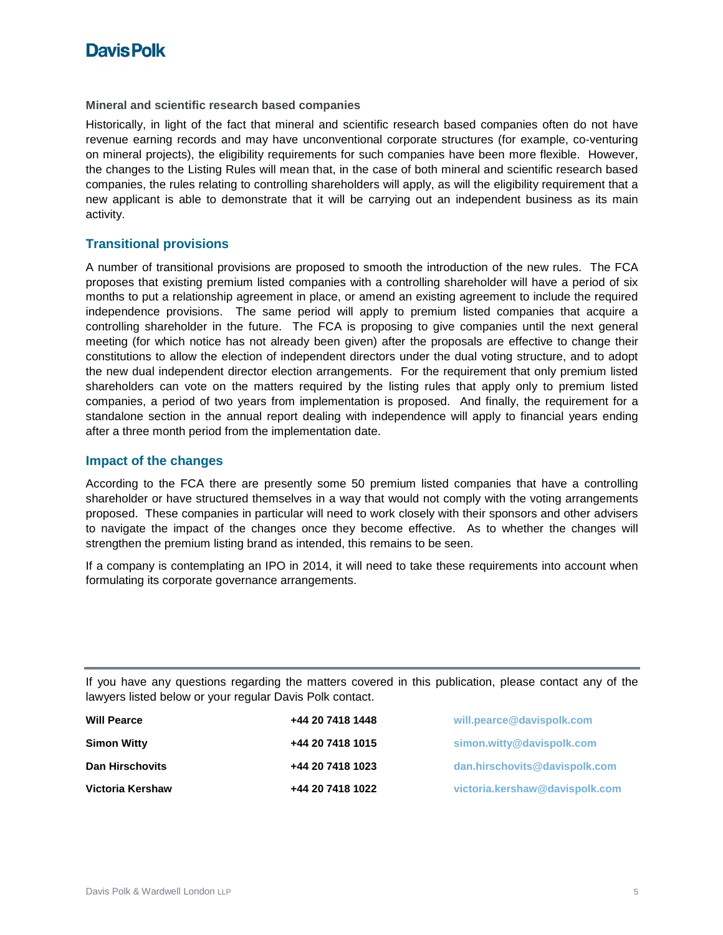# **Davis Polk**

#### **Mineral and scientific research based companies**

Historically, in light of the fact that mineral and scientific research based companies often do not have revenue earning records and may have unconventional corporate structures (for example, co-venturing on mineral projects), the eligibility requirements for such companies have been more flexible. However, the changes to the Listing Rules will mean that, in the case of both mineral and scientific research based companies, the rules relating to controlling shareholders will apply, as will the eligibility requirement that a new applicant is able to demonstrate that it will be carrying out an independent business as its main activity.

### **Transitional provisions**

A number of transitional provisions are proposed to smooth the introduction of the new rules. The FCA proposes that existing premium listed companies with a controlling shareholder will have a period of six months to put a relationship agreement in place, or amend an existing agreement to include the required independence provisions. The same period will apply to premium listed companies that acquire a controlling shareholder in the future. The FCA is proposing to give companies until the next general meeting (for which notice has not already been given) after the proposals are effective to change their constitutions to allow the election of independent directors under the dual voting structure, and to adopt the new dual independent director election arrangements. For the requirement that only premium listed shareholders can vote on the matters required by the listing rules that apply only to premium listed companies, a period of two years from implementation is proposed. And finally, the requirement for a standalone section in the annual report dealing with independence will apply to financial years ending after a three month period from the implementation date.

#### **Impact of the changes**

According to the FCA there are presently some 50 premium listed companies that have a controlling shareholder or have structured themselves in a way that would not comply with the voting arrangements proposed. These companies in particular will need to work closely with their sponsors and other advisers to navigate the impact of the changes once they become effective. As to whether the changes will strengthen the premium listing brand as intended, this remains to be seen.

If a company is contemplating an IPO in 2014, it will need to take these requirements into account when formulating its corporate governance arrangements.

If you have any questions regarding the matters covered in this publication, please contact any of the lawyers listed below or your regular Davis Polk contact.

| <b>Will Pearce</b>     | +44 20 7418 1448 | will.pearce@davispolk.com      |
|------------------------|------------------|--------------------------------|
| <b>Simon Witty</b>     | +44 20 7418 1015 | simon.witty@davispolk.com      |
| <b>Dan Hirschovits</b> | +44 20 7418 1023 | dan.hirschovits@davispolk.com  |
| Victoria Kershaw       | +44 20 7418 1022 | victoria.kershaw@davispolk.com |